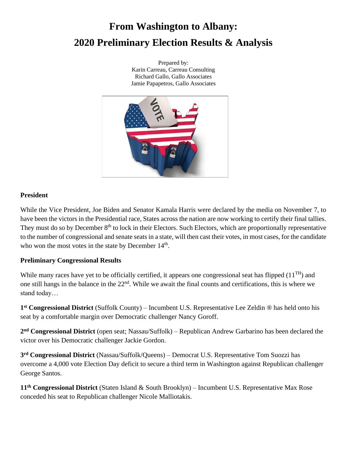# **From Washington to Albany: 2020 Preliminary Election Results & Analysis**

Prepared by: Karin Carreau, Carreau Consulting Richard Gallo, Gallo Associates Jamie Papapetros, Gallo Associates



## **President**

While the Vice President, Joe Biden and Senator Kamala Harris were declared by the media on November 7, to have been the victors in the Presidential race, States across the nation are now working to certify their final tallies. They must do so by December 8<sup>th</sup> to lock in their Electors. Such Electors, which are proportionally representative to the number of congressional and senate seats in a state, will then cast their votes, in most cases, for the candidate who won the most votes in the state by December  $14<sup>th</sup>$ .

# **Preliminary Congressional Results**

While many races have yet to be officially certified, it appears one congressional seat has flipped  $(11^{TH})$  and one still hangs in the balance in the  $22<sup>nd</sup>$ . While we await the final counts and certifications, this is where we stand today…

**1 st Congressional District** (Suffolk County) – Incumbent U.S. Representative Lee Zeldin ® has held onto his seat by a comfortable margin over Democratic challenger Nancy Goroff.

**2 nd Congressional District** (open seat; Nassau/Suffolk) – Republican Andrew Garbarino has been declared the victor over his Democratic challenger Jackie Gordon.

**3 rd Congressional District** (Nassau/Suffolk/Queens) – Democrat U.S. Representative Tom Suozzi has overcome a 4,000 vote Election Day deficit to secure a third term in Washington against Republican challenger George Santos.

**11th Congressional District** (Staten Island & South Brooklyn) – Incumbent U.S. Representative Max Rose conceded his seat to Republican challenger Nicole Malliotakis.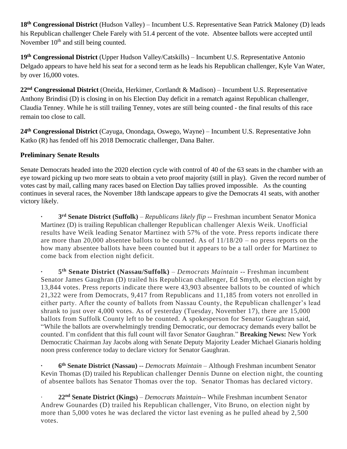**18th Congressional District** (Hudson Valley) – Incumbent U.S. Representative Sean Patrick Maloney (D) leads his Republican challenger Chele Farely with 51.4 percent of the vote. Absentee ballots were accepted until November  $10<sup>th</sup>$  and still being counted.

**19th Congressional District** (Upper Hudson Valley/Catskills) – Incumbent U.S. Representative Antonio Delgado appears to have held his seat for a second term as he leads his Republican challenger, Kyle Van Water, by over 16,000 votes.

**22nd Congressional District** (Oneida, Herkimer, Cortlandt & Madison) – Incumbent U.S. Representative Anthony Brindisi (D) is closing in on his Election Day deficit in a rematch against Republican challenger, Claudia Tenney. While he is still trailing Tenney, votes are still being counted - the final results of this race remain too close to call.

**24th Congressional District** [\(Cayuga,](https://statisticalatlas.com/county/New-York/Cayuga-County/Overview) [Onondaga,](https://statisticalatlas.com/county/New-York/Onondaga-County/Overview) [Oswego,](https://statisticalatlas.com/county/New-York/Oswego-County/Overview) [Wayne\)](https://statisticalatlas.com/county/New-York/Wayne-County/Overview) – Incumbent U.S. Representative John Katko (R) has fended off his 2018 Democratic challenger, Dana Balter.

## **Preliminary Senate Results**

Senate Democrats headed into the 2020 election cycle with control of 40 of the 63 seats in the chamber with an eye toward picking up two more seats to obtain a veto proof majority (still in play). Given the record number of votes cast by mail, calling many races based on Election Day tallies proved impossible. As the counting continues in several races, the November 18th landscape appears to give the Democrats 41 seats, with another victory likely.

**· 3 rd Senate District (Suffolk)** – *Republicans likely flip* -- Freshman incumbent Senator Monica Martinez (D) is trailing Republican challenger Republican challenger Alexis Weik. Unofficial results have Weik leading Senator Martinez with 57% of the vote. Press reports indicate there are more than 20,000 absentee ballots to be counted. As of 11/18/20 – no press reports on the how many absentee ballots have been counted but it appears to be a tall order for Martinez to come back from election night deficit.

**· 5 th Senate District (Nassau/Suffolk)** – *Democrats Maintain* -- Freshman incumbent Senator James Gaughran (D) trailed his Republican challenger, Ed Smyth, on election night by 13,844 votes. Press reports indicate there were 43,903 absentee ballots to be counted of which 21,322 were from Democrats, 9,417 from Republicans and 11,185 from voters not enrolled in either party. After the county of ballots from Nassau County, the Republican challenger's lead shrank to just over 4,000 votes. As of yesterday (Tuesday, November 17), there are 15,000 ballots from Suffolk County left to be counted. A spokesperson for Senator Gaughran said, "While the ballots are overwhelmingly trending Democratic, our democracy demands every ballot be counted. I'm confident that this full count will favor Senator Gaughran." **Breaking News:** New York Democratic Chairman Jay Jacobs along with Senate Deputy Majority Leader Michael Gianaris holding noon press conference today to declare victory for Senator Gaughran.

**· 6 th Senate District (Nassau)** -- *Democrats Maintain* – Although Freshman incumbent Senator Kevin Thomas (D) trailed his Republican challenger Dennis Dunne on election night, the counting of absentee ballots has Senator Thomas over the top. Senator Thomas has declared victory.

· **22nd Senate District (Kings)** – *Democrats Maintain*-- While Freshman incumbent Senator Andrew Gounardes (D) trailed his Republican challenger, Vito Bruno, on election night by more than 5,000 votes he was declared the victor last evening as he pulled ahead by 2,500 votes.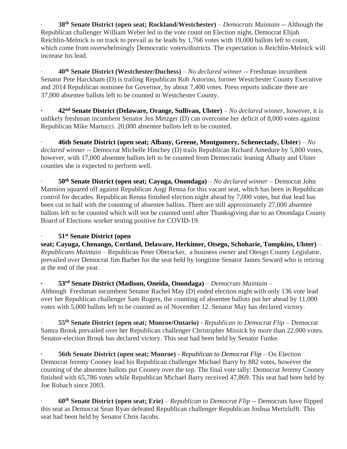· **38th Senate District (open seat; Rockland/Westchester)** – *Democrats Maintain* -- Although the Republican challenger William Weber led in the vote count on Election night, Democrat Elijah Reichlin-Melnick is on track to prevail as he leads by 1,766 votes with 19,000 ballots left to count, which come from overwhelmingly Democratic voters/districts. The expectation is Reichlin-Melnick will increase his lead.

· **40th Senate District (Westchester/Duchess)** – *No declared winner* -- Freshman incumbent Senator Pete Harckham (D) is trailing Republican Rob Astorino, former Westchester County Executive and 2014 Republican nominee for Governor, by about 7,400 votes. Press reports indicate there are 37,000 absentee ballots left to be counted in Westchester County.

**· 42nd Senate District [\(Delaware,](https://statisticalatlas.com/county/New-York/Delaware-County/Overview) [Orange,](https://statisticalatlas.com/county/New-York/Orange-County/Overview) [Sullivan,](https://statisticalatlas.com/county/New-York/Sullivan-County/Overview) [Ulster\)](https://statisticalatlas.com/county/New-York/Ulster-County/Overview)** – *No declared winner*, however, it is unlikely freshman incumbent Senator Jen Metzger (D) can overcome her deficit of 8,000 votes against Republican Mike Martucci. 20,000 absentee ballots left to be counted.

· **46th Senate District (open seat; [Albany,](https://statisticalatlas.com/county/New-York/Albany-County/Overview) [Greene,](https://statisticalatlas.com/county/New-York/Greene-County/Overview) [Montgomery,](https://statisticalatlas.com/county/New-York/Montgomery-County/Overview) [Schenectady,](https://statisticalatlas.com/county/New-York/Schenectady-County/Overview) [Ulster](https://statisticalatlas.com/county/New-York/Ulster-County/Overview)**) – *No declared winner* -- Democrat Michelle Hinchey (D) trails Republican Richard Amedure by 5,800 votes, however, with 17,000 absentee ballots left to be counted from Democratic leaning Albany and Ulster counties she is expected to perform well.

· **50th Senate District (open seat; [Cayuga,](https://statisticalatlas.com/county/New-York/Cayuga-County/Overview) [Onondaga\)](https://statisticalatlas.com/county/New-York/Onondaga-County/Overview)** – *No declared winner* – Democrat John Mannion squared off against Republican Angi Renna for this vacant seat, which has been in Republican control for decades. Republican Renna finished election night ahead by 7,000 votes, but that lead has been cut in half with the counting of absentee ballots. There are still approximately 27,000 absentee ballots left to be counted which will not be counted until after Thanksgiving due to an Onondaga County Board of Elections worker testing positive for COVID-19.

#### · **51st Senate District (open**

**seat; [Cayuga,](https://statisticalatlas.com/county/New-York/Cayuga-County/Overview) [Chenango,](https://statisticalatlas.com/county/New-York/Chenango-County/Overview) [Cortland,](https://statisticalatlas.com/county/New-York/Cortland-County/Overview) [Delaware,](https://statisticalatlas.com/county/New-York/Delaware-County/Overview) [Herkimer,](https://statisticalatlas.com/county/New-York/Herkimer-County/Overview) [Otsego,](https://statisticalatlas.com/county/New-York/Otsego-County/Overview) [Schoharie,](https://statisticalatlas.com/county/New-York/Schoharie-County/Overview) [Tompkins,](https://statisticalatlas.com/county/New-York/Tompkins-County/Overview) [Ulster\)](https://statisticalatlas.com/county/New-York/Ulster-County/Overview)** – *Republicans Maintain* – Republican Peter Oberacker, a business owner and Otesgo County Legislator, prevailed over Democrat Jim Barber for the seat held by longtime Senator James Seward who is retiring at the end of the year.

# **· 53rd Senate District [\(Madison,](https://statisticalatlas.com/county/New-York/Madison-County/Overview) [Oneida,](https://statisticalatlas.com/county/New-York/Oneida-County/Overview) [Onondaga\)](https://statisticalatlas.com/county/New-York/Onondaga-County/Overview)** – *Democrats Maintain* –

Although Freshman incumbent Senator Rachel May (D) ended election night with only 136 vote lead over her Republican challenger Sam Rogers, the counting of absentee ballots put her ahead by 11,000 votes with 5,000 ballots left to be counted as of November 12. Senator May has declared victory.

· **55th Senate District (open seat; Monroe/Ontario)** - *Republican to Democrat Flip* – Democrat Samra Brouk prevailed over her Republican challenger Christopher Missick by more than 22,000 votes. Senator-election Brouk has declared victory. This seat had been held by Senator Funke.

**· 56th Senate District (open seat; Monroe)** - *Republican to Democrat Flip* – On Election Democrat Jeremy Cooney lead his Republican challenger Michael Barry by 882 votes, however the counting of the absentee ballots put Cooney over the top. The final vote tally: Democrat Jeremy Cooney finished with 65,786 votes while Republican Michael Barry received 47,869. This seat had been held by Joe Robach since 2003.

· **60th Senate District (open seat; Erie)** – *Republican to Democrat Flip* -- Democrats have flipped this seat as Democrat Sean Ryan defeated Republican challenger Republican Joshua Mertzlufft. This seat had been held by Senator Chris Jacobs.